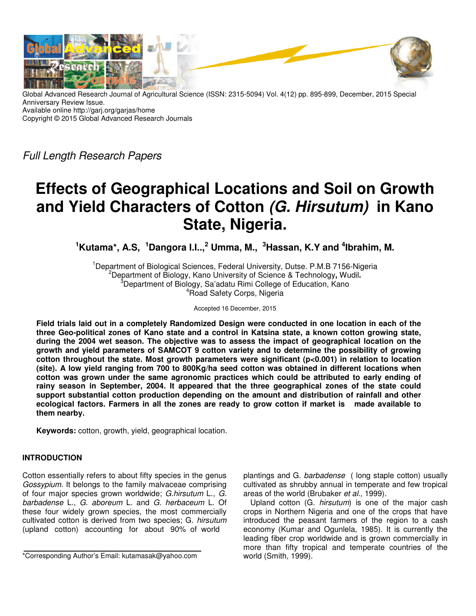

Global Advanced Research Journal of Agricultural Science (ISSN: 2315-5094) Vol. 4(12) pp. 895-899, December, 2015 Special Anniversary Review Issue. Available online http://garj.org/garjas/home Copyright © 2015 Global Advanced Research Journals

Full Length Research Papers

# **Effects of Geographical Locations and Soil on Growth and Yield Characters of Cotton (G. Hirsutum) in Kano State, Nigeria.**

**<sup>1</sup>Kutama\*, A.S, <sup>1</sup>Dangora I.I..,<sup>2</sup> Umma, M., <sup>3</sup>Hassan, K.Y and <sup>4</sup> Ibrahim, M.** 

<sup>1</sup> Department of Biological Sciences, Federal University, Dutse, P.M.B 7156-Nigeria <sup>2</sup>Department of Biology, Kano University of Science & Technology**,** Wudil**.**   $3$ Department of Biology, Sa'adatu Rimi College of Education, Kano <sup>4</sup>Road Safety Corps, Nigeria

Accepted 16 December, 2015

**Field trials laid out in a completely Randomized Design were conducted in one location in each of the three Geo-political zones of Kano state and a control in Katsina state, a known cotton growing state, during the 2004 wet season. The objective was to assess the impact of geographical location on the growth and yield parameters of SAMCOT 9 cotton variety and to determine the possibility of growing cotton throughout the state. Most growth parameters were significant (p<0.001) in relation to location (site). A low yield ranging from 700 to 800Kg/ha seed cotton was obtained in different locations when cotton was grown under the same agronomic practices which could be attributed to early ending of rainy season in September, 2004. It appeared that the three geographical zones of the state could support substantial cotton production depending on the amount and distribution of rainfall and other ecological factors. Farmers in all the zones are ready to grow cotton if market is made available to them nearby.** 

**Keywords:** cotton, growth, yield, geographical location.

# **INTRODUCTION**

Cotton essentially refers to about fifty species in the genus Gossypium. It belongs to the family malvaceae comprising of four major species grown worldwide; G.hirsutum L., G. barbadense L., G. aboreum L. and G. herbaceum L. Of these four widely grown species, the most commercially cultivated cotton is derived from two species; G. hirsutum (upland cotton) accounting for about 90% of world

plantings and G. barbadense ( long staple cotton) usually cultivated as shrubby annual in temperate and few tropical areas of the world (Brubaker et al., 1999).

Upland cotton (G. hirsutum) is one of the major cash crops in Northern Nigeria and one of the crops that have introduced the peasant farmers of the region to a cash economy (Kumar and Ogunlela, 1985). It is currently the leading fiber crop worldwide and is grown commercially in more than fifty tropical and temperate countries of the world (Smith, 1999).

<sup>\*</sup>Corresponding Author's Email: kutamasak@yahoo.com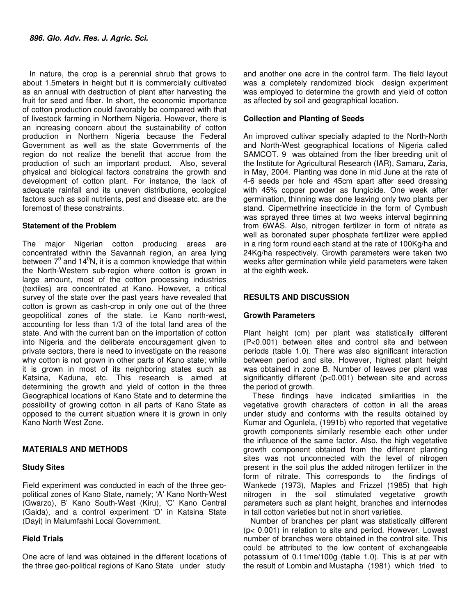In nature, the crop is a perennial shrub that grows to about 1.5meters in height but it is commercially cultivated as an annual with destruction of plant after harvesting the fruit for seed and fiber. In short, the economic importance of cotton production could favorably be compared with that of livestock farming in Northern Nigeria. However, there is an increasing concern about the sustainability of cotton production in Northern Nigeria because the Federal Government as well as the state Governments of the region do not realize the benefit that accrue from the production of such an important product. Also, several physical and biological factors constrains the growth and development of cotton plant. For instance, the lack of adequate rainfall and its uneven distributions, ecological factors such as soil nutrients, pest and disease etc. are the foremost of these constraints.

# **Statement of the Problem**

The major Nigerian cotton producing areas are concentrated within the Savannah region, an area lying between  $7^0$  and 14<sup>0</sup>N, it is a common knowledge that within the North-Western sub-region where cotton is grown in large amount, most of the cotton processing industries (textiles) are concentrated at Kano. However, a critical survey of the state over the past years have revealed that cotton is grown as cash-crop in only one out of the three geopolitical zones of the state. i.e Kano north-west, accounting for less than 1/3 of the total land area of the state. And with the current ban on the importation of cotton into Nigeria and the deliberate encouragement given to private sectors, there is need to investigate on the reasons why cotton is not grown in other parts of Kano state; while it is grown in most of its neighboring states such as Katsina, Kaduna, etc. This research is aimed at determining the growth and yield of cotton in the three Geographical locations of Kano State and to determine the possibility of growing cotton in all parts of Kano State as opposed to the current situation where it is grown in only Kano North West Zone.

# **MATERIALS AND METHODS**

### **Study Sites**

Field experiment was conducted in each of the three geopolitical zones of Kano State, namely; 'A' Kano North-West (Gwarzo), B' Kano South-West (Kiru), 'C' Kano Central (Gaida), and a control experiment 'D' in Katsina State (Dayi) in Malumfashi Local Government.

# **Field Trials**

One acre of land was obtained in the different locations of the three geo-political regions of Kano State under study

and another one acre in the control farm. The field layout was a completely randomized block design experiment was employed to determine the growth and yield of cotton as affected by soil and geographical location.

# **Collection and Planting of Seeds**

An improved cultivar specially adapted to the North-North and North-West geographical locations of Nigeria called SAMCOT. 9 was obtained from the fiber breeding unit of the Institute for Agricultural Research (IAR), Samaru, Zaria, in May, 2004. Planting was done in mid June at the rate of 4-6 seeds per hole and 45cm apart after seed dressing with 45% copper powder as fungicide. One week after germination, thinning was done leaving only two plants per stand. Cipermethrine insecticide in the form of Cymbush was sprayed three times at two weeks interval beginning from 6WAS. Also, nitrogen fertilizer in form of nitrate as well as boronated super phosphate fertilizer were applied in a ring form round each stand at the rate of 100Kg/ha and 24Kg/ha respectively. Growth parameters were taken two weeks after germination while yield parameters were taken at the eighth week.

# **RESULTS AND DISCUSSION**

### **Growth Parameters**

Plant height (cm) per plant was statistically different (P<0.001) between sites and control site and between periods (table 1.0). There was also significant interaction between period and site. However, highest plant height was obtained in zone B. Number of leaves per plant was significantly different (p<0.001) between site and across the period of growth.

 These findings have indicated similarities in the vegetative growth characters of cotton in all the areas under study and conforms with the results obtained by Kumar and Ogunlela, (1991b) who reported that vegetative growth components similarly resemble each other under the influence of the same factor. Also, the high vegetative growth component obtained from the different planting sites was not unconnected with the level of nitrogen present in the soil plus the added nitrogen fertilizer in the form of nitrate. This corresponds to the findings of Wankede (1973), Maples and Frizzel (1985) that high nitrogen in the soil stimulated vegetative growth parameters such as plant height, branches and internodes in tall cotton varieties but not in short varieties.

Number of branches per plant was statistically different (p< 0.001) in relation to site and period. However. Lowest number of branches were obtained in the control site. This could be attributed to the low content of exchangeable potassium of 0.11me/100g (table 1.0). This is at par with the result of Lombin and Mustapha (1981) which tried to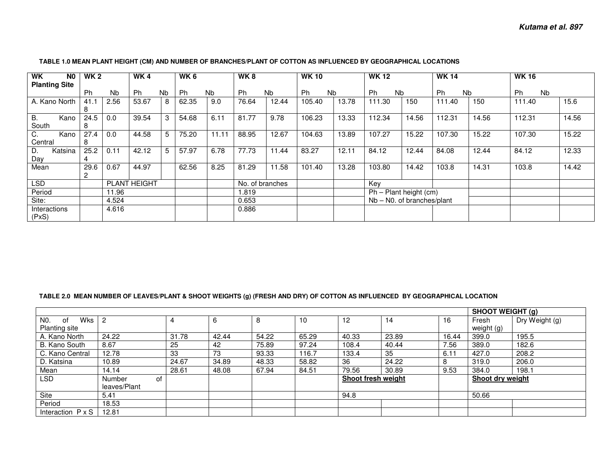#### **WK N0 Planting Site WK 2**Ph Nb  $2.56$ **WK 4**Ph Nb  $\overline{8}$ **WK 6**Ph Nb  $9.0$ **WK 8**Ph Nb  $12.44$ **WK 10**Ph Nb  $13.78$ **WK 12**Ph Nb 150 **WK 14**Ph Nb  $150$ **WK 16**Ph Nb A. Kano North  $\vert$  41.1 8  $\overline{24.5}$ 2.56 | 53.67 | 8 | 62.35 | 9.0 | 76.64 | 12.44 | 105.40 | 13.78 | 111.30 | 150 | 111.40 | 150 | 111.40 | 15.6 B. Kano South 8 27.40.0 39.54 3 54.68 6.11 81.77 9.78 106.23 13.33 112.34 14.56 112.31 14.56 112.31 14.56 C. Kano **Central**  D. Katsina 8  $25.2$ 0.0 44.58 5 75.20 11.11 88.95 12.67 104.63 13.89 107.27 15.22 107.30 15.22 107.30 15.22 Day Mean 29.64  $29.6$ 0.11 42.12 5 57.97 6.78 77.73 11.44 83.27 12.11 84.12 12.44 84.08 12.44 84.12 12.33 2 0.67 | 44.97 | | 62.56 | 8.25 | 81.29 | 11.58 | 101.40 | 13.28 | 103.80 | 14.42 | 103.8 | 14.31 | 103.8 | 14.42 LSD PLANT HEIGHT No. of branches Key<br>Period 11.96 1.819 Ph – Period | 11.96 1.819 | 12.819 Ph – Plant height (cm) Site: 4.524 0.653 Nb – N0. of branches/plant **Interactions** 4.616 0.886

### **TABLE 1.0 MEAN PLANT HEIGHT (CM) AND NUMBER OF BRANCHES/PLANT OF COTTON AS INFLUENCED BY GEOGRAPHICAL LOCATIONS**

(PxS)

#### **TABLE 2.0 MEAN NUMBER OF LEAVES/PLANT & SHOOT WEIGHTS (g) (FRESH AND DRY) OF COTTON AS INFLUENCED BY GEOGRAPHICAL LOCATION**

|                             |                     |       |       |       |       |                    |       | <b>SHOOT WEIGHT (g)</b> |                         |                |
|-----------------------------|---------------------|-------|-------|-------|-------|--------------------|-------|-------------------------|-------------------------|----------------|
| Wks<br>N <sub>0</sub><br>0f | $\overline{2}$      | 4     | 6     | 8     | 10    | $12 \overline{ }$  | 14    | 16                      | Fresh                   | Dry Weight (g) |
| <b>Planting site</b>        |                     |       |       |       |       |                    |       |                         | weight $(g)$            |                |
| A. Kano North               | 24.22               | 31.78 | 42.44 | 54.22 | 65.29 | 40.33              | 23.89 | 16.44                   | 399.0                   | 195.5          |
| B. Kano South               | 8.67                | 25    | 42    | 75.89 | 97.24 | 108.4              | 40.44 | 7.56                    | 389.0                   | 182.6          |
| C. Kano Central             | 12.78               | 33    | 73    | 93.33 | 116.7 | 133.4              | 35    | 6.11                    | 427.0                   | 208.2          |
| D. Katsina                  | 10.89               | 24.67 | 34.89 | 48.33 | 58.82 | 36                 | 24.22 | 8                       | 319.0                   | 206.0          |
| Mean                        | 14.14               | 28.61 | 48.08 | 67.94 | 84.51 | 79.56              | 30.89 | 9.53                    | 384.0                   | 198.1          |
| LSD                         | <b>Number</b><br>οf |       |       |       |       | Shoot fresh weight |       |                         | <b>Shoot drv weight</b> |                |
|                             | leaves/Plant        |       |       |       |       |                    |       |                         |                         |                |
| Site                        | 5.41                |       |       |       |       | 94.8               |       |                         | 50.66                   |                |
| Period                      | 18.53               |       |       |       |       |                    |       |                         |                         |                |
| Interaction $P \times S$    | 12.81               |       |       |       |       |                    |       |                         |                         |                |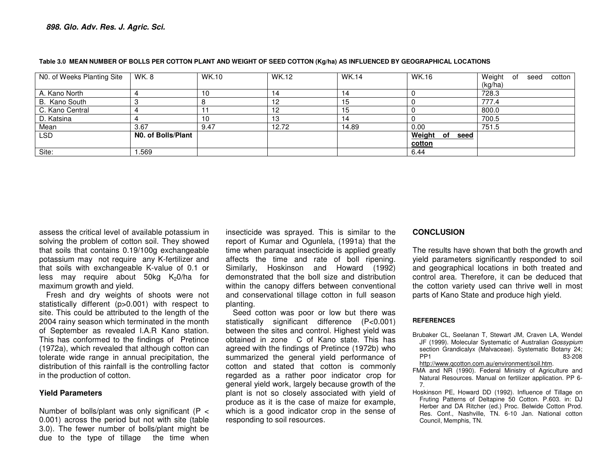| N0. of Weeks Planting Site | WK.8               | <b>WK.10</b> | <b>WK.12</b> | <b>WK.14</b> | WK.16             | Weight of<br>cotton<br>seed |
|----------------------------|--------------------|--------------|--------------|--------------|-------------------|-----------------------------|
|                            |                    |              |              |              |                   | (kg/ha)                     |
| A. Kano North              |                    |              | 14           | 14           |                   | 728.3                       |
| B. Kano South              |                    |              | 12           |              |                   | 777.4                       |
| C. Kano Central            |                    |              | 12           | l 5          |                   | 800.0                       |
| D. Katsina                 |                    |              | 13           | 14           |                   | 700.5                       |
| Mean                       | 3.67               | 9.47         | 12.72        | 14.89        | 0.00              | 751.5                       |
| <b>LSD</b>                 | N0. of Bolls/Plant |              |              |              | Weight of<br>seed |                             |
|                            |                    |              |              |              | cotton            |                             |
| Site:                      | .569               |              |              |              | 6.44              |                             |

#### **Table 3.0 MEAN NUMBER OF BOLLS PER COTTON PLANT AND WEIGHT OF SEED COTTON (Kg/ha) AS INFLUENCED BY GEOGRAPHICAL LOCATIONS**

assess the critical level of available potassium in solving the problem of cotton soil. They showed that soils that contains 0.19/100g exchangeable potassium may not require any K-fertilizer and that soils with exchangeable K-value of 0.1 or less may require about  $50kg$  K<sub>2</sub>0/ha for maximum growth and yield.

 Fresh and dry weights of shoots were not statistically different (p>0.001) with respect to site. This could be attributed to the length of the 2004 rainy season which terminated in the month of September as revealed I.A.R Kano station. This has conformed to the findings of Pretince (1972a), which revealed that although cotton can tolerate wide range in annual precipitation, the distribution of this rainfall is the controlling factor in the production of cotton.

# **Yield Parameters**

Number of bolls/plant was only significant ( $P <$  0.001) across the period but not with site (table 3.0). The fewer number of bolls/plant might be due to the type of tillage the time when

insecticide was sprayed. This is similar to the report of Kumar and Ogunlela, (1991a) that the time when paraquat insecticide is applied greatly affects the time and rate of boll ripening. Similarly, Hoskinson and Howard (1992) demonstrated that the boll size and distribution within the canopy differs between conventional and conservational tillage cotton in full season planting.

 Seed cotton was poor or low but there was statistically significant difference (P<0.001) between the sites and control. Highest yield was obtained in zone C of Kano state. This has agreed with the findings of Pretince (1972b) who summarized the general yield performance of cotton and stated that cotton is commonly regarded as a rather poor indicator crop for general yield work, largely because growth of the plant is not so closely associated with yield of produce as it is the case of maize for example, which is a good indicator crop in the sense of responding to soil resources.

# **CONCLUSION**

The results have shown that both the growth and yield parameters significantly responded to soil and geographical locations in both treated and control area. Therefore, it can be deduced that the cotton variety used can thrive well in most parts of Kano State and produce high yield.

#### **REFERENCES**

- Brubaker CL, Seelanan T, Stewart JM, Craven LA, Wendel JF (1999). Molecular Systematic of Australian Gossypium section Grandicalyx (Malvaceae). Systematic Botany 24; PP1 83-208
	- http://www.qcotton.com.au/environment/soil.htm.
- FMA and NR (1990). Federal Ministry of Agriculture and Natural Resources. Manual on fertilizer application. PP 6-7.
- Hoskinson PE, Howard DD (1992). Influence of Tillage on Fruting Patterns of Deltapine 50 Cotton. P.603. in: DJ Herber and DA Ritcher (ed.) Proc. Belwide Cotton Prod. Res. Conf., Nashville, TN. 6-10 Jan. National cotton Council, Memphis, TN.